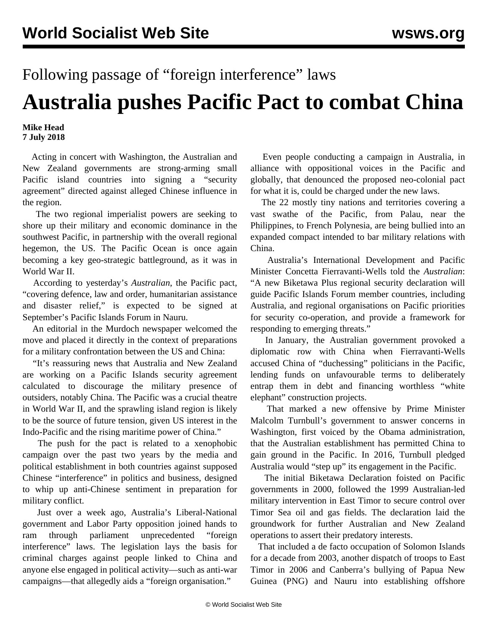## Following passage of "foreign interference" laws

## **Australia pushes Pacific Pact to combat China**

## **Mike Head 7 July 2018**

 Acting in concert with Washington, the Australian and New Zealand governments are strong-arming small Pacific island countries into signing a "security agreement" directed against alleged Chinese influence in the region.

 The two regional imperialist powers are seeking to shore up their military and economic dominance in the southwest Pacific, in partnership with the overall regional hegemon, the US. The Pacific Ocean is once again becoming a key geo-strategic battleground, as it was in World War II.

 According to yesterday's *Australian*, the Pacific pact, "covering defence, law and order, humanitarian assistance and disaster relief," is expected to be signed at September's Pacific Islands Forum in Nauru.

 An editorial in the Murdoch newspaper welcomed the move and placed it directly in the context of preparations for a military confrontation between the US and China:

 "It's reassuring news that Australia and New Zealand are working on a Pacific Islands security agreement calculated to discourage the military presence of outsiders, notably China. The Pacific was a crucial theatre in World War II, and the sprawling island region is likely to be the source of future tension, given US interest in the Indo-Pacific and the rising maritime power of China."

 The push for the pact is related to a xenophobic campaign over the past two years by the media and political establishment in both countries against supposed Chinese "interference" in politics and business, designed to whip up anti-Chinese sentiment in preparation for military conflict.

 Just over a week ago, Australia's Liberal-National government and Labor Party opposition joined hands to ram through parliament unprecedented "foreign interference" laws. The legislation lays the basis for criminal charges against people linked to China and anyone else engaged in political activity—such as anti-war campaigns—that allegedly aids a "foreign organisation."

 Even people conducting a campaign in Australia, in alliance with oppositional voices in the Pacific and globally, that denounced the proposed neo-colonial pact for what it is, could be charged under the new laws.

 The 22 mostly tiny nations and territories covering a vast swathe of the Pacific, from Palau, near the Philippines, to French Polynesia, are being bullied into an expanded compact intended to bar military relations with China.

 Australia's International Development and Pacific Minister Concetta Fierravanti-Wells told the *Australian*: "A new Biketawa Plus regional security declaration will guide Pacific Islands Forum member countries, including Australia, and regional organisations on Pacific priorities for security co-operation, and provide a framework for responding to emerging threats."

 In January, the Australian government provoked a diplomatic row with China when Fierravanti-Wells [accused](/en/articles/2018/01/11/aust-j11.html) China of "duchessing" politicians in the Pacific, lending funds on unfavourable terms to deliberately entrap them in debt and financing worthless "white elephant" construction projects.

 That marked a new offensive by Prime Minister Malcolm Turnbull's government to answer concerns in Washington, first voiced by the Obama administration, that the Australian establishment has permitted China to gain ground in the Pacific. In 2016, Turnbull pledged Australia would "step up" its engagement in the Pacific.

 The initial Biketawa Declaration foisted on Pacific governments in 2000, followed the 1999 Australian-led military intervention in East Timor to secure control over Timor Sea oil and gas fields. The declaration laid the groundwork for further Australian and New Zealand operations to assert their predatory interests.

 That included a de facto occupation of Solomon Islands for a decade from 2003, another dispatch of troops to East Timor in 2006 and Canberra's bullying of Papua New Guinea (PNG) and Nauru into establishing offshore